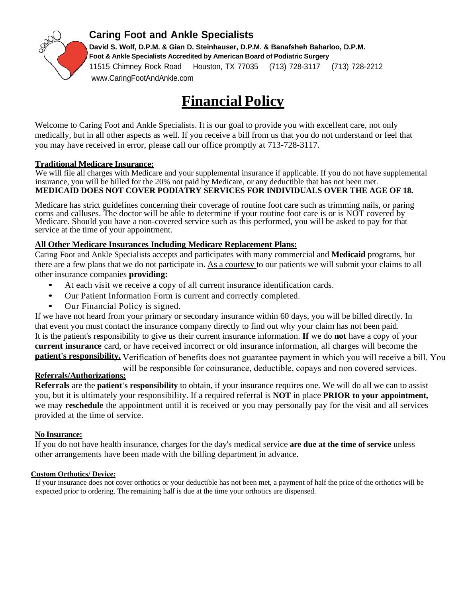

### **Caring Foot and Ankle Specialists**

**David S. Wolf, D.P.M. & Gian D. Steinhauser, D.P.M. & Banafsheh Baharloo, D.P.M. Foot & Ankle Specialists Accredited by American Board of Podiatric Surgery** 11515 Chimney Rock Road Houston, TX 77035 (713) 728-3117 (713) 728-2212 www.CaringFootAndAnkle.com

# **Financial Policy**

Welcome to Caring Foot and Ankle Specialists. It is our goal to provide you with excellent care, not only medically, but in all other aspects as well. If you receive a bill from us that you do not understand or feel that you may have received in error, please call our office promptly at 713-728-3117.

### **Traditional Medicare Insurance:**

We will file all charges with Medicare and your supplemental insurance if applicable. If you do not have supplemental insurance, you will be billed for the 20% not paid by Medicare, or any deductible that has not been met. **MEDICAID DOES NOT COVER PODIATRY SERVICES FOR INDIVIDUALS OVER THE AGE OF 18.**

Medicare has strict guidelines concerning their coverage of routine foot care such as trimming nails, or paring corns and calluses. The doctor will be able to determine if your routine foot care is or is NOT covered by Medicare. Should you have a non-covered service such as this performed, you will be asked to pay for that service at the time of your appointment.

### **All Other Medicare Insurances Including Medicare Replacement Plans:**

Caring Foot and Ankle Specialists accepts and participates with many commercial and **Medicaid** programs, but there are a few plans that we do not participate in. As a courtesy to our patients we will submit your claims to all other insurance companies **providing:**

- At each visit we receive a copy of all current insurance identification cards.
- Our Patient Information Form is current and correctly completed.
- Our Financial Policy is signed.

If we have not heard from your primary or secondary insurance within 60 days, you will be billed directly. In that event you must contact the insurance company directly to find out why your claim has not been paid. It is the patient's responsibility to give us their current insurance information. **If** we do **not** have a copy of your **current insurance** card, or have received incorrect or old insurance information, all charges will become the **patient's responsibility.** Verification of benefits does not guarantee payment in which you will receive a bill. You will be responsible for coinsurance, deductible, copays and non covered services.

**Referrals/Authorizations:**

**Referrals** are the **patient's responsibility** to obtain, if your insurance requires one. We will do all we can to assist you, but it is ultimately your responsibility. If a required referral is **NOT** in place **PRIOR to your appointment,**  we may **reschedule** the appointment until it is received or you may personally pay for the visit and all services provided at the time of service.

### **No Insurance:**

If you do not have health insurance, charges for the day's medical service **are due at the time of service** unless other arrangements have been made with the billing department in advance.

### **Custom Orthotics/ Device:**

If your insurance does not cover orthotics or your deductible has not been met, a payment of half the price of the orthotics will be expected prior to ordering. The remaining half is due at the time your orthotics are dispensed.